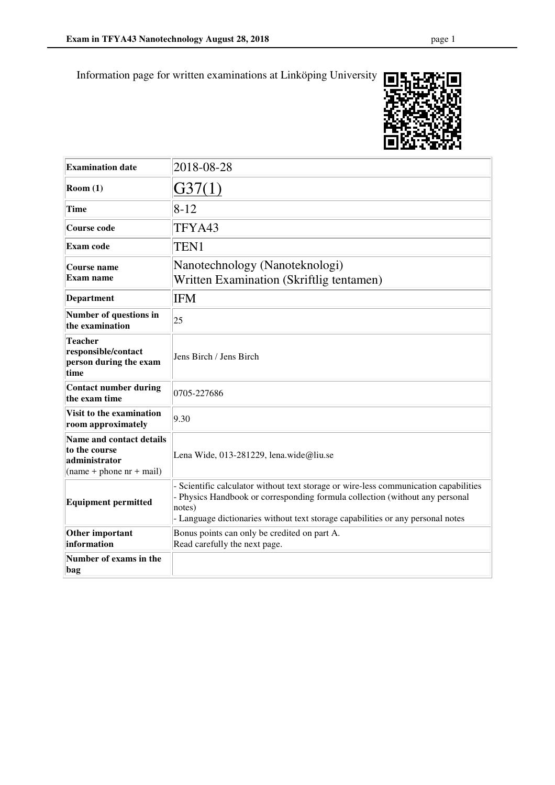

| <b>Examination date</b>                                                                  | 2018-08-28                                                                                                                                                                                                                                                      |
|------------------------------------------------------------------------------------------|-----------------------------------------------------------------------------------------------------------------------------------------------------------------------------------------------------------------------------------------------------------------|
| Room(1)                                                                                  | G37(1)                                                                                                                                                                                                                                                          |
| <b>Time</b>                                                                              | $8 - 12$                                                                                                                                                                                                                                                        |
| <b>Course code</b>                                                                       | TFYA43                                                                                                                                                                                                                                                          |
| <b>Exam code</b>                                                                         | TEN1                                                                                                                                                                                                                                                            |
| Course name<br>Exam name                                                                 | Nanotechnology (Nanoteknologi)<br>Written Examination (Skriftlig tentamen)                                                                                                                                                                                      |
| Department                                                                               | <b>IFM</b>                                                                                                                                                                                                                                                      |
| Number of questions in<br>the examination                                                | 25                                                                                                                                                                                                                                                              |
| <b>Teacher</b><br>responsible/contact<br>person during the exam<br>time                  | Jens Birch / Jens Birch                                                                                                                                                                                                                                         |
| <b>Contact number during</b><br>the exam time                                            | 0705-227686                                                                                                                                                                                                                                                     |
| Visit to the examination<br>room approximately                                           | 9.30                                                                                                                                                                                                                                                            |
| Name and contact details<br>to the course<br>administrator<br>$(name + phone nr + mail)$ | Lena Wide, 013-281229, lena.wide@liu.se                                                                                                                                                                                                                         |
| <b>Equipment permitted</b>                                                               | Scientific calculator without text storage or wire-less communication capabilities<br>- Physics Handbook or corresponding formula collection (without any personal<br>notes)<br>- Language dictionaries without text storage capabilities or any personal notes |
| Other important<br>information                                                           | Bonus points can only be credited on part A.<br>Read carefully the next page.                                                                                                                                                                                   |
| Number of exams in the<br>bag                                                            |                                                                                                                                                                                                                                                                 |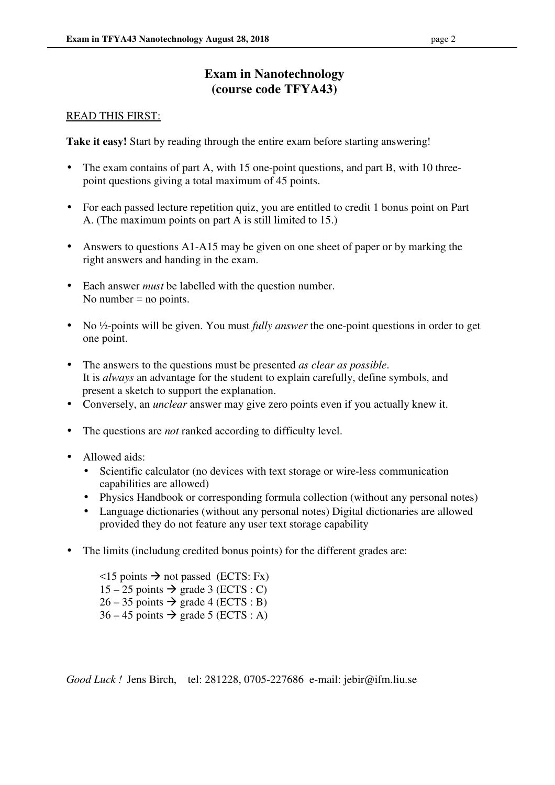# **Exam in Nanotechnology (course code TFYA43)**

#### READ THIS FIRST:

**Take it easy!** Start by reading through the entire exam before starting answering!

- The exam contains of part A, with 15 one-point questions, and part B, with 10 threepoint questions giving a total maximum of 45 points.
- For each passed lecture repetition quiz, you are entitled to credit 1 bonus point on Part A. (The maximum points on part A is still limited to 15.)
- Answers to questions A1-A15 may be given on one sheet of paper or by marking the right answers and handing in the exam.
- Each answer *must* be labelled with the question number. No number  $=$  no points.
- No ½-points will be given. You must *fully answer* the one-point questions in order to get one point.
- The answers to the questions must be presented *as clear as possible*. It is *always* an advantage for the student to explain carefully, define symbols, and present a sketch to support the explanation.
- Conversely, an *unclear* answer may give zero points even if you actually knew it.
- The questions are *not* ranked according to difficulty level.
- Allowed aids:
	- Scientific calculator (no devices with text storage or wire-less communication capabilities are allowed)
	- Physics Handbook or corresponding formula collection (without any personal notes)
	- Language dictionaries (without any personal notes) Digital dictionaries are allowed provided they do not feature any user text storage capability
- The limits (includung credited bonus points) for the different grades are:
	- $\le$ 15 points  $\rightarrow$  not passed (ECTS: Fx)  $15 - 25$  points  $\rightarrow$  grade 3 (ECTS : C)  $26 - 35$  points  $\rightarrow$  grade 4 (ECTS : B)  $36 - 45$  points  $\rightarrow$  grade 5 (ECTS : A)

*Good Luck !* Jens Birch, tel: 281228, 0705-227686 e-mail: jebir@ifm.liu.se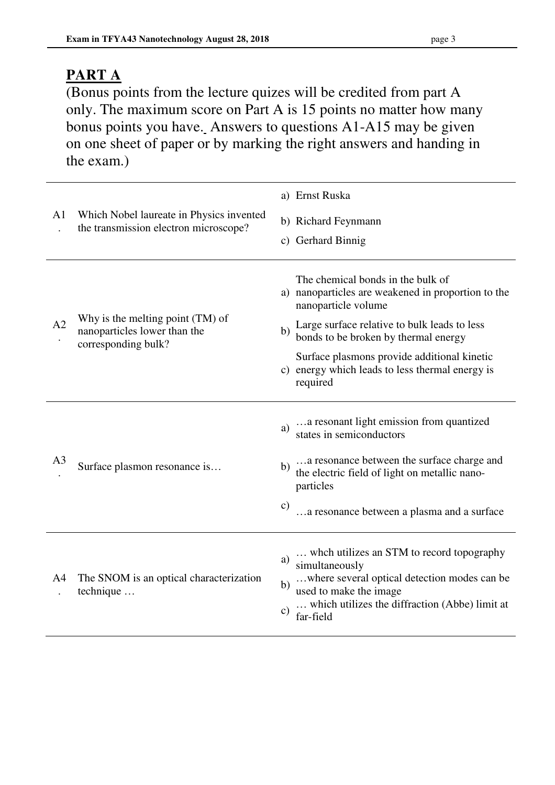# **PART A**

(Bonus points from the lecture quizes will be credited from part A only. The maximum score on Part A is 15 points no matter how many bonus points you have. Answers to questions A1-A15 may be given on one sheet of paper or by marking the right answers and handing in the exam.)

| A <sub>1</sub> | Which Nobel laureate in Physics invented<br>the transmission electron microscope?       | a) Ernst Ruska<br>b) Richard Feynmann<br>c) Gerhard Binnig                                                                                                                                                                                                                                                                 |
|----------------|-----------------------------------------------------------------------------------------|----------------------------------------------------------------------------------------------------------------------------------------------------------------------------------------------------------------------------------------------------------------------------------------------------------------------------|
| A2             | Why is the melting point (TM) of<br>nanoparticles lower than the<br>corresponding bulk? | The chemical bonds in the bulk of<br>a) nanoparticles are weakened in proportion to the<br>nanoparticle volume<br>Large surface relative to bulk leads to less<br>b)<br>bonds to be broken by thermal energy<br>Surface plasmons provide additional kinetic<br>c) energy which leads to less thermal energy is<br>required |
| A <sub>3</sub> | Surface plasmon resonance is                                                            | a resonant light emission from quantized<br>a)<br>states in semiconductors<br>a resonance between the surface charge and<br>b)<br>the electric field of light on metallic nano-<br>particles<br>$\mathbf{c})$<br>a resonance between a plasma and a surface                                                                |
| A4             | The SNOM is an optical characterization<br>technique                                    | whch utilizes an STM to record topography<br>a)<br>simultaneously<br>where several optical detection modes can be<br>b)<br>used to make the image<br>which utilizes the diffraction (Abbe) limit at<br>$\mathbf{c})$<br>far-field                                                                                          |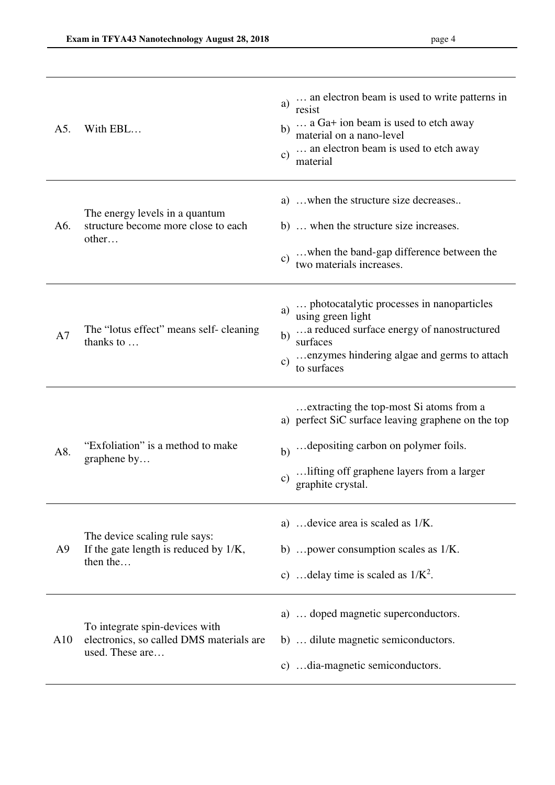| A5.            | With EBL                                                                                      | an electron beam is used to write patterns in<br>a)<br>resist<br>a Ga+ ion beam is used to etch away<br>b)<br>material on a nano-level<br>an electron beam is used to etch away<br>$\mathbf{c})$<br>material                  |
|----------------|-----------------------------------------------------------------------------------------------|-------------------------------------------------------------------------------------------------------------------------------------------------------------------------------------------------------------------------------|
| A6.            | The energy levels in a quantum<br>structure become more close to each<br>other                | a)  when the structure size decreases<br>b)  when the structure size increases.<br>when the band-gap difference between the<br>$\mathbf{c})$<br>two materials increases.                                                      |
| A7             | The "lotus effect" means self-cleaning<br>thanks to                                           | photocatalytic processes in nanoparticles<br>a)<br>using green light<br>a reduced surface energy of nanostructured<br>b)<br>surfaces<br>enzymes hindering algae and germs to attach<br>$\mathbf{c})$<br>to surfaces           |
| A8.            | "Exfoliation" is a method to make<br>graphene by                                              | extracting the top-most Si atoms from a<br>a) perfect SiC surface leaving graphene on the top<br>depositing carbon on polymer foils.<br>b)<br>lifting off graphene layers from a larger<br>$\mathbf{c})$<br>graphite crystal. |
| A <sub>9</sub> | The device scaling rule says:<br>If the gate length is reduced by 1/K,<br>then the            | a)  device area is scaled as 1/K.<br>b)  power consumption scales as 1/K.<br>c)  delay time is scaled as $1/K^2$ .                                                                                                            |
| A10            | To integrate spin-devices with<br>electronics, so called DMS materials are<br>used. These are | a)  doped magnetic superconductors.<br>b)  dilute magnetic semiconductors.<br>c) dia-magnetic semiconductors.                                                                                                                 |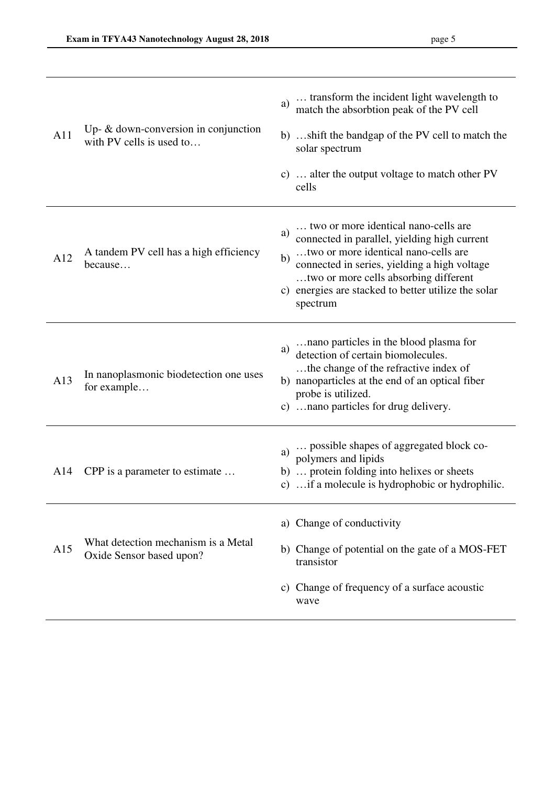| A11 | Up- $\&$ down-conversion in conjunction<br>with PV cells is used to | transform the incident light wavelength to<br>a)<br>match the absorbtion peak of the PV cell<br>b) shift the bandgap of the PV cell to match the<br>solar spectrum<br>c)  alter the output voltage to match other PV<br>cells                                                                        |
|-----|---------------------------------------------------------------------|------------------------------------------------------------------------------------------------------------------------------------------------------------------------------------------------------------------------------------------------------------------------------------------------------|
| A12 | A tandem PV cell has a high efficiency<br>because                   | two or more identical nano-cells are<br>a)<br>connected in parallel, yielding high current<br>two or more identical nano-cells are<br>b)<br>connected in series, yielding a high voltage<br>two or more cells absorbing different<br>c) energies are stacked to better utilize the solar<br>spectrum |
| A13 | In nanoplasmonic biodetection one uses<br>for example               | nano particles in the blood plasma for<br>a)<br>detection of certain biomolecules.<br>the change of the refractive index of<br>b) nanoparticles at the end of an optical fiber<br>probe is utilized.<br>c)  nano particles for drug delivery.                                                        |
| A14 | CPP is a parameter to estimate                                      | a)  possible shapes of aggregated block co-<br>polymers and lipids<br>b)  protein folding into helixes or sheets<br>c)  if a molecule is hydrophobic or hydrophilic.                                                                                                                                 |
| A15 | What detection mechanism is a Metal<br>Oxide Sensor based upon?     | a) Change of conductivity<br>b) Change of potential on the gate of a MOS-FET<br>transistor<br>Change of frequency of a surface acoustic<br>C)<br>wave                                                                                                                                                |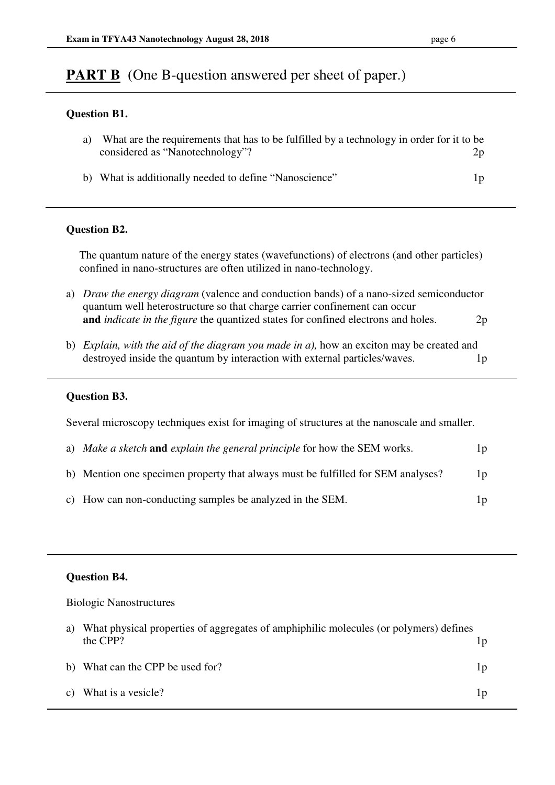# **PART B** (One B-question answered per sheet of paper.)

#### **Question B1.**

| a) | What are the requirements that has to be fulfilled by a technology in order for it to be<br>considered as "Nanotechnology"? | 2p |
|----|-----------------------------------------------------------------------------------------------------------------------------|----|
|    | b) What is additionally needed to define "Nanoscience"                                                                      | 1p |

## **Question B2.**

The quantum nature of the energy states (wavefunctions) of electrons (and other particles) confined in nano-structures are often utilized in nano-technology.

- a) *Draw the energy diagram* (valence and conduction bands) of a nano-sized semiconductor quantum well heterostructure so that charge carrier confinement can occur  **and** *indicate in the figure* the quantized states for confined electrons and holes. 2p
- b) *Explain, with the aid of the diagram you made in a),* how an exciton may be created and destroyed inside the quantum by interaction with external particles/waves. 1p

#### **Question B3.**

Several microscopy techniques exist for imaging of structures at the nanoscale and smaller.

| a) Make a sketch and explain the general principle for how the SEM works.        | 1p |
|----------------------------------------------------------------------------------|----|
| b) Mention one specimen property that always must be fulfilled for SEM analyses? | 1p |
| c) How can non-conducting samples be analyzed in the SEM.                        | 1p |

## **Question B4.**

Biologic Nanostructures

| a) What physical properties of aggregates of amphiphilic molecules (or polymers) defines |    |
|------------------------------------------------------------------------------------------|----|
| the CPP?                                                                                 |    |
| b) What can the CPP be used for?                                                         | 1p |
| c) What is a vesicle?                                                                    | 1p |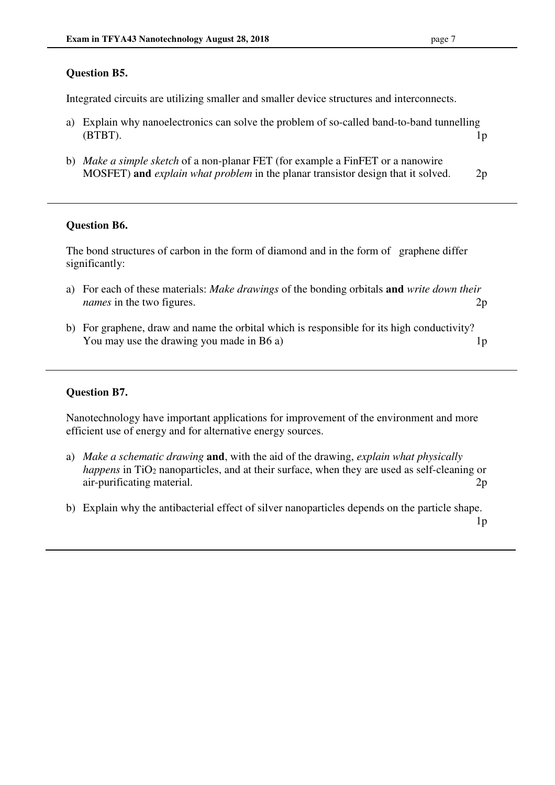#### **Question B5.**

Integrated circuits are utilizing smaller and smaller device structures and interconnects.

- a) Explain why nanoelectronics can solve the problem of so-called band-to-band tunnelling (BTBT). 1p
- b) *Make a simple sketch* of a non-planar FET (for example a FinFET or a nanowire MOSFET) **and** *explain what problem* in the planar transistor design that it solved. 2p

#### **Question B6.**

The bond structures of carbon in the form of diamond and in the form of graphene differ significantly:

- a) For each of these materials: *Make drawings* of the bonding orbitals **and** *write down their names* in the two figures. 2p
- b) For graphene, draw and name the orbital which is responsible for its high conductivity? You may use the drawing you made in B6 a) 1p

#### **Question B7.**

Nanotechnology have important applications for improvement of the environment and more efficient use of energy and for alternative energy sources.

- a) *Make a schematic drawing* **and**, with the aid of the drawing, *explain what physically happens* in TiO<sub>2</sub> nanoparticles, and at their surface, when they are used as self-cleaning or air-purificating material. 2p
- b) Explain why the antibacterial effect of silver nanoparticles depends on the particle shape.

 $1<sub>p</sub>$